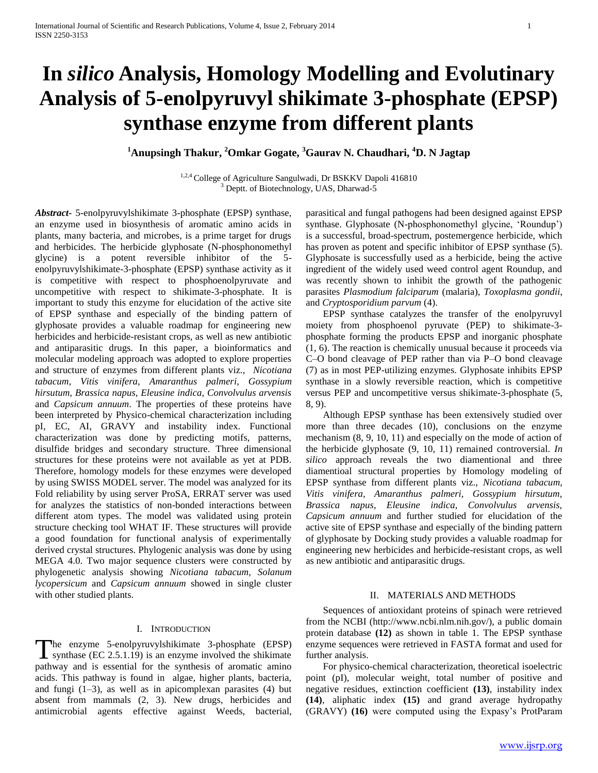# **In** *silico* **Analysis, Homology Modelling and Evolutinary Analysis of 5-enolpyruvyl shikimate 3-phosphate (EPSP) synthase enzyme from different plants**

**<sup>1</sup>Anupsingh Thakur, <sup>2</sup>Omkar Gogate, <sup>3</sup>Gaurav N. Chaudhari, <sup>4</sup>D. N Jagtap**

1,2,4 College of Agriculture Sangulwadi, Dr BSKKV Dapoli 416810 <sup>3</sup> Deptt. of Biotechnology, UAS, Dharwad-5

*Abstract***-** 5-enolpyruvylshikimate 3-phosphate (EPSP) synthase, an enzyme used in biosynthesis of aromatic amino acids in plants, many bacteria, and microbes, is a prime target for drugs and herbicides. The herbicide glyphosate (N-phosphonomethyl glycine) is a potent reversible inhibitor of the 5 enolpyruvylshikimate-3-phosphate (EPSP) synthase activity as it is competitive with respect to phosphoenolpyruvate and uncompetitive with respect to shikimate-3-phosphate. It is important to study this enzyme for elucidation of the active site of EPSP synthase and especially of the binding pattern of glyphosate provides a valuable roadmap for engineering new herbicides and herbicide-resistant crops, as well as new antibiotic and antiparasitic drugs. In this paper, a bioinformatics and molecular modeling approach was adopted to explore properties and structure of enzymes from different plants viz., *Nicotiana tabacum, Vitis vinifera, Amaranthus palmeri, Gossypium hirsutum, Brassica napus, Eleusine indica, Convolvulus arvensis*  and *Capsicum annuum*. The properties of these proteins have been interpreted by Physico-chemical characterization including pI, EC, AI, GRAVY and instability index. Functional characterization was done by predicting motifs, patterns, disulfide bridges and secondary structure. Three dimensional structures for these proteins were not available as yet at PDB. Therefore, homology models for these enzymes were developed by using SWISS MODEL server. The model was analyzed for its Fold reliability by using server ProSA, ERRAT server was used for analyzes the statistics of non-bonded interactions between different atom types. The model was validated using protein structure checking tool WHAT IF. These structures will provide a good foundation for functional analysis of experimentally derived crystal structures. Phylogenic analysis was done by using MEGA 4.0. Two major sequence clusters were constructed by phylogenetic analysis showing *Nicotiana tabacum*, *Solanum lycopersicum* and *Capsicum annuum* showed in single cluster with other studied plants.

## I. INTRODUCTION

he enzyme 5-enolpyruvylshikimate 3-phosphate (EPSP) The enzyme 5-enolpyruvylshikimate 3-phosphate (EPSP) synthase (EC 2.5.1.19) is an enzyme involved the shikimate pathway and is essential for the synthesis of aromatic amino acids. This pathway is found in algae, higher plants, bacteria, and fungi (1–3), as well as in apicomplexan parasites (4) but absent from mammals (2, 3). New drugs, herbicides and antimicrobial agents effective against Weeds, bacterial,

parasitical and fungal pathogens had been designed against EPSP synthase. Glyphosate (N-phosphonomethyl glycine, 'Roundup') is a successful, broad-spectrum, postemergence herbicide, which has proven as potent and specific inhibitor of EPSP synthase (5). Glyphosate is successfully used as a herbicide, being the active ingredient of the widely used weed control agent Roundup, and was recently shown to inhibit the growth of the pathogenic parasites *Plasmodium falciparum* (malaria), *Toxoplasma gondii*, and *Cryptosporidium parvum* (4).

 EPSP synthase catalyzes the transfer of the enolpyruvyl moiety from phosphoenol pyruvate (PEP) to shikimate-3 phosphate forming the products EPSP and inorganic phosphate (1, 6). The reaction is chemically unusual because it proceeds via C–O bond cleavage of PEP rather than via P–O bond cleavage (7) as in most PEP-utilizing enzymes. Glyphosate inhibits EPSP synthase in a slowly reversible reaction, which is competitive versus PEP and uncompetitive versus shikimate-3-phosphate (5, 8, 9).

 Although EPSP synthase has been extensively studied over more than three decades (10), conclusions on the enzyme mechanism (8, 9, 10, 11) and especially on the mode of action of the herbicide glyphosate (9, 10, 11) remained controversial. *In silico* approach reveals the two diamentional and three diamentioal structural properties by Homology modeling of EPSP synthase from different plants viz., *Nicotiana tabacum, Vitis vinifera, Amaranthus palmeri, Gossypium hirsutum, Brassica napus, Eleusine indica, Convolvulus arvensis, Capsicum annuum* and further studied for elucidation of the active site of EPSP synthase and especially of the binding pattern of glyphosate by Docking study provides a valuable roadmap for engineering new herbicides and herbicide-resistant crops, as well as new antibiotic and antiparasitic drugs.

#### II. MATERIALS AND METHODS

 Sequences of antioxidant proteins of spinach were retrieved from the NCBI (http://www.ncbi.nlm.nih.gov/), a public domain protein database **(12)** as shown in table 1. The EPSP synthase enzyme sequences were retrieved in FASTA format and used for further analysis.

 For physico-chemical characterization, theoretical isoelectric point (pI), molecular weight, total number of positive and negative residues, extinction coefficient **(13)**, instability index **(14)**, aliphatic index **(15)** and grand average hydropathy (GRAVY) **(16)** were computed using the Expasy's ProtParam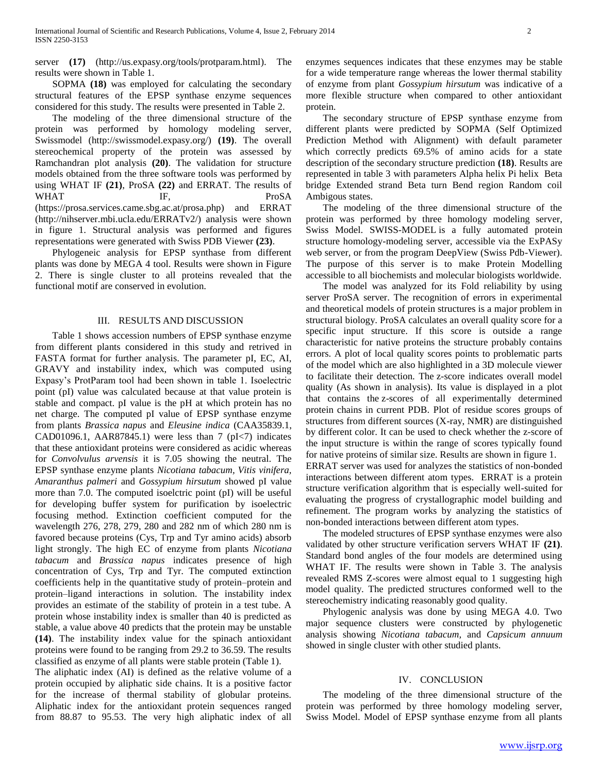server **(17)** (http://us.expasy.org/tools/protparam.html). The results were shown in Table 1.

 SOPMA **(18)** was employed for calculating the secondary structural features of the EPSP synthase enzyme sequences considered for this study. The results were presented in Table 2.

 The modeling of the three dimensional structure of the protein was performed by homology modeling server, Swissmodel (http://swissmodel.expasy.org/) **(19)**. The overall stereochemical property of the protein was assessed by Ramchandran plot analysis **(20)**. The validation for structure models obtained from the three software tools was performed by using WHAT IF **(21)**, ProSA **(22)** and ERRAT. The results of WHAT IF, ProSA (https://prosa.services.came.sbg.ac.at/prosa.php) and ERRAT (http://nihserver.mbi.ucla.edu/ERRATv2/) analysis were shown in figure 1. Structural analysis was performed and figures representations were generated with Swiss PDB Viewer **(23)**.

 Phylogeneic analysis for EPSP synthase from different plants was done by MEGA 4 tool. Results were shown in Figure 2. There is single cluster to all proteins revealed that the functional motif are conserved in evolution.

#### III. RESULTS AND DISCUSSION

 Table 1 shows accession numbers of EPSP synthase enzyme from different plants considered in this study and retrived in FASTA format for further analysis. The parameter pI, EC, AI, GRAVY and instability index, which was computed using Expasy's ProtParam tool had been shown in table 1. Isoelectric point (pI) value was calculated because at that value protein is stable and compact. pI value is the pH at which protein has no net charge. The computed pI value of EPSP synthase enzyme from plants *Brassica napus* and *Eleusine indica* (CAA35839.1, CAD01096.1, AAR87845.1) were less than 7  $(pI<7)$  indicates that these antioxidant proteins were considered as acidic whereas for *Convolvulus arvensis* it is 7.05 showing the neutral. The EPSP synthase enzyme plants *Nicotiana tabacum, Vitis vinifera, Amaranthus palmeri* and *Gossypium hirsutum* showed pI value more than 7.0. The computed isoelctric point (pI) will be useful for developing buffer system for purification by isoelectric focusing method. Extinction coefficient computed for the wavelength 276, 278, 279, 280 and 282 nm of which 280 nm is favored because proteins (Cys, Trp and Tyr amino acids) absorb light strongly. The high EC of enzyme from plants *Nicotiana tabacum* and *Brassica napus* indicates presence of high concentration of Cys, Trp and Tyr. The computed extinction coefficients help in the quantitative study of protein–protein and protein–ligand interactions in solution. The instability index provides an estimate of the stability of protein in a test tube. A protein whose instability index is smaller than 40 is predicted as stable, a value above 40 predicts that the protein may be unstable **(14)**. The instability index value for the spinach antioxidant proteins were found to be ranging from 29.2 to 36.59. The results classified as enzyme of all plants were stable protein (Table 1).

The aliphatic index (AI) is defined as the relative volume of a protein occupied by aliphatic side chains. It is a positive factor for the increase of thermal stability of globular proteins. Aliphatic index for the antioxidant protein sequences ranged from 88.87 to 95.53. The very high aliphatic index of all

enzymes sequences indicates that these enzymes may be stable for a wide temperature range whereas the lower thermal stability of enzyme from plant *Gossypium hirsutum* was indicative of a more flexible structure when compared to other antioxidant protein.

 The secondary structure of EPSP synthase enzyme from different plants were predicted by SOPMA (Self Optimized Prediction Method with Alignment) with default parameter which correctly predicts 69.5% of amino acids for a state description of the secondary structure prediction **(18)**. Results are represented in table 3 with parameters Alpha helix Pi helix Beta bridge Extended strand Beta turn Bend region Random coil Ambigous states.

 The modeling of the three dimensional structure of the protein was performed by three homology modeling server, Swiss Model. SWISS-MODEL is a fully automated protein structure homology-modeling server, accessible via the ExPASy web server, or from the program DeepView (Swiss Pdb-Viewer). The purpose of this server is to make Protein Modelling accessible to all biochemists and molecular biologists worldwide.

 The model was analyzed for its Fold reliability by using server ProSA server. The recognition of errors in experimental and theoretical models of protein structures is a major problem in structural biology. ProSA calculates an overall quality score for a specific input structure. If this score is outside a range characteristic for native proteins the structure probably contains errors. A plot of local quality scores points to problematic parts of the model which are also highlighted in a 3D molecule viewer to facilitate their detection. The z-score indicates overall model quality (As shown in analysis). Its value is displayed in a plot that contains the z-scores of all experimentally determined protein chains in current PDB. Plot of residue scores groups of structures from different sources (X-ray, NMR) are distinguished by different color. It can be used to check whether the z-score of the input structure is within the range of scores typically found for native proteins of similar size. Results are shown in figure 1. ERRAT server was used for analyzes the statistics of non-bonded interactions between different atom types. ERRAT is a protein structure verification algorithm that is especially well-suited for evaluating the progress of crystallographic model building and refinement. The program works by analyzing the statistics of non-bonded interactions between different atom types.

 The modeled structures of EPSP synthase enzymes were also validated by other structure verification servers WHAT IF **(21)**. Standard bond angles of the four models are determined using WHAT IF. The results were shown in Table 3. The analysis revealed RMS Z-scores were almost equal to 1 suggesting high model quality. The predicted structures conformed well to the stereochemistry indicating reasonably good quality.

 Phylogenic analysis was done by using MEGA 4.0. Two major sequence clusters were constructed by phylogenetic analysis showing *Nicotiana tabacum,* and *Capsicum annuum* showed in single cluster with other studied plants.

### IV. CONCLUSION

 The modeling of the three dimensional structure of the protein was performed by three homology modeling server, Swiss Model. Model of EPSP synthase enzyme from all plants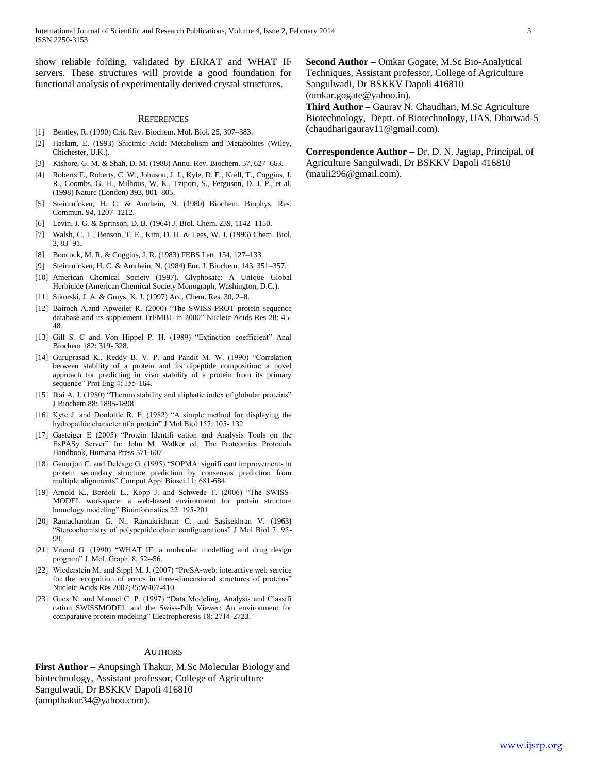show reliable folding, validated by ERRAT and WHAT IF servers. These structures will provide a good foundation for functional analysis of experimentally derived crystal structures.

#### **REFERENCES**

- [1] Bentley, R. (1990) Crit. Rev. Biochem. Mol. Biol. 25, 307–383.
- [2] Haslam, E. (1993) Shicimic Acid: Metabolism and Metabolites (Wiley, Chichester, U.K.).
- [3] Kishore, G. M. & Shah, D. M. (1988) Annu. Rev. Biochem. 57, 627–663.
- [4] Roberts F., Roberts, C. W., Johnson, J. J., Kyle, D. E., Krell, T., Coggins, J. R., Coombs, G. H., Milhous, W. K., Tzipori, S., Ferguson, D. J. P., et al. (1998) Nature (London) 393, 801–805.
- [5] Steinru¨cken, H. C. & Amrhein, N. (1980) Biochem. Biophys. Res. Commun. 94, 1207–1212.
- [6] Levin, J. G. & Sprinson, D. B. (1964) J. Biol. Chem. 239, 1142–1150.
- [7] Walsh, C. T., Benson, T. E., Kim, D. H. & Lees, W. J. (1996) Chem. Biol. 3, 83–91.
- [8] Boocock, M. R. & Coggins, J. R. (1983) FEBS Lett. 154, 127–133.
- [9] Steinru¨cken, H. C. & Amrhein, N. (1984) Eur. J. Biochem. 143, 351–357.
- [10] American Chemical Society (1997). Glyphosate: A Unique Global Herbicide (American Chemical Society Monograph, Washington, D.C.).
- [11] Sikorski, J. A. & Gruys, K. J. (1997) Acc. Chem. Res. 30, 2–8.
- [12] Bairoch A.and Apweiler R. (2000) "The SWISS-PROT protein sequence database and its supplement TrEMBL in 2000" Nucleic Acids Res 28: 45- 48.
- [13] Gill S. C and Von Hippel P. H. (1989) "Extinction coefficient" Anal Biochem 182: 319- 328.
- [14] Guruprasad K., Reddy B. V. P. and Pandit M. W. (1990) "Correlation between stability of a protein and its dipeptide composition: a novel approach for predicting in vivo stability of a protein from its primary sequence" Prot Eng 4: 155-164.
- [15] Ikai A. J. (1980) "Thermo stability and aliphatic index of globular proteins" J Biochem 88: 1895-1898
- [16] Kyte J. and Doolottle R. F. (1982) "A simple method for displaying the hydropathic character of a protein" J Mol Biol 157: 105- 132
- [17] Gasteiger E (2005) "Protein Identifi cation and Analysis Tools on the ExPASy Server" In: John M. Walker ed, The Proteomics Protocols Handbook, Humana Press 571-607
- [18] Geourjon C. and Deléage G. (1995) "SOPMA: signifi cant improvements in protein secondary structure prediction by consensus prediction from multiple alignments" Comput Appl Biosci 11: 681-684.
- [19] Arnold K., Bordoli L., Kopp J. and Schwede T. (2006) "The SWISS-MODEL workspace: a web-based environment for protein structure homology modeling" Bioinformatics 22: 195-201
- [20] Ramachandran G. N., Ramakrishnan C. and Sasisekhran V. (1963) "Stereochemistry of polypeptide chain configuarations" J Mol Biol 7: 95- 99.
- [21] Vriend G. (1990) "WHAT IF: a molecular modelling and drug design program" J. Mol. Graph. 8, 52--56.
- [22] Wiederstein M. and Sippl M. J. (2007) "ProSA-web: interactive web service for the recognition of errors in three-dimensional structures of proteins" Nucleic Acids Res 2007;35:W407-410.
- [23] Guex N. and Manuel C. P. (1997) "Data Modeling, Analysis and Classifi cation SWISSMODEL and the Swiss-Pdb Viewer: An environment for comparative protein modeling" Electrophoresis 18: 2714-2723.

#### AUTHORS

**First Author –** Anupsingh Thakur, M.Sc Molecular Biology and biotechnology, Assistant professor, College of Agriculture Sangulwadi, Dr BSKKV Dapoli 416810 (anupthakur34@yahoo.com).

**Second Author –** Omkar Gogate, M.Sc Bio-Analytical Techniques, Assistant professor, College of Agriculture Sangulwadi, Dr BSKKV Dapoli 416810 (omkar.gogate@yahoo.in). **Third Author –** Gaurav N. Chaudhari, M.Sc Agriculture

Biotechnology, Deptt. of Biotechnology, UAS, Dharwad-5 (chaudharigaurav11@gmail.com).

**Correspondence Author –** Dr. D. N. Jagtap, Principal, of Agriculture Sangulwadi, Dr BSKKV Dapoli 416810 (mauli296@gmail.com).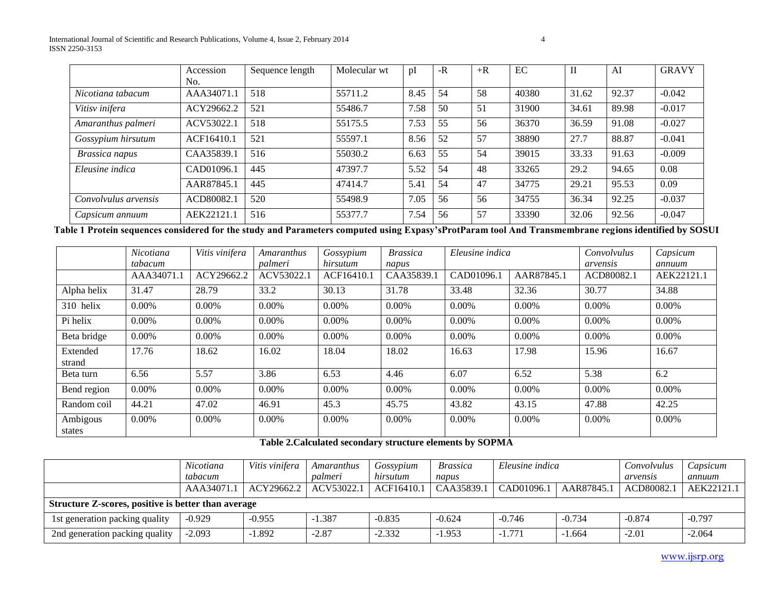|                      | Accession  | Sequence length | Molecular wt | pI   | $-R$ | $+R$ | EC    | $\rm II$ | AI    | <b>GRAVY</b> |
|----------------------|------------|-----------------|--------------|------|------|------|-------|----------|-------|--------------|
|                      | No.        |                 |              |      |      |      |       |          |       |              |
| Nicotiana tabacum    | AAA34071.1 | 518             | 55711.2      | 8.45 | 54   | 58   | 40380 | 31.62    | 92.37 | $-0.042$     |
| Vitisv inifera       | ACY29662.2 | 521             | 55486.7      | 7.58 | 50   | 51   | 31900 | 34.61    | 89.98 | $-0.017$     |
| Amaranthus palmeri   | ACV53022.1 | 518             | 55175.5      | 7.53 | 55   | 56   | 36370 | 36.59    | 91.08 | $-0.027$     |
| Gossypium hirsutum   | ACF16410.1 | 521             | 55597.1      | 8.56 | 52   | 57   | 38890 | 27.7     | 88.87 | $-0.041$     |
| Brassica napus       | CAA35839.1 | 516             | 55030.2      | 6.63 | 55   | 54   | 39015 | 33.33    | 91.63 | $-0.009$     |
| Eleusine indica      | CAD01096.1 | 445             | 47397.7      | 5.52 | 54   | 48   | 33265 | 29.2     | 94.65 | 0.08         |
|                      | AAR87845.1 | 445             | 47414.7      | 5.41 | 54   | 47   | 34775 | 29.21    | 95.53 | 0.09         |
| Convolvulus arvensis | ACD80082.1 | 520             | 55498.9      | 7.05 | 56   | 56   | 34755 | 36.34    | 92.25 | $-0.037$     |
| Capsicum annuum      | AEK22121.1 | 516             | 55377.7      | 7.54 | 56   | 57   | 33390 | 32.06    | 92.56 | $-0.047$     |

**Table 1 Protein sequences considered for the study and Parameters computed using Expasy'sProtParam tool And Transmembrane regions identified by SOSUI**

|                    | Nicotiana  | Vitis vinifera | Amaranthus | Gossypium  | <b>Brassica</b> | Eleusine indica |            | Convolvulus | Capsicum   |
|--------------------|------------|----------------|------------|------------|-----------------|-----------------|------------|-------------|------------|
|                    | tabacum    |                | palmeri    | hirsutum   | napus           |                 |            | arvensis    | annuum     |
|                    | AAA34071.1 | ACY29662.2     | ACV53022.1 | ACF16410.1 | CAA35839.1      | CAD01096.1      | AAR87845.1 | ACD80082.1  | AEK22121.1 |
| Alpha helix        | 31.47      | 28.79          | 33.2       | 30.13      | 31.78           | 33.48           | 32.36      | 30.77       | 34.88      |
| 310 helix          | 0.00%      | $0.00\%$       | 0.00%      | 0.00%      | 0.00%           | 0.00%           | $0.00\%$   | $0.00\%$    | 0.00%      |
| Pi helix           | 0.00%      | $0.00\%$       | 0.00%      | 0.00%      | $0.00\%$        | 0.00%           | 0.00%      | $0.00\%$    | 0.00%      |
| Beta bridge        | 0.00%      | $0.00\%$       | 0.00%      | $0.00\%$   | $0.00\%$        | 0.00%           | 0.00%      | 0.00%       | 0.00%      |
| Extended<br>strand | 17.76      | 18.62          | 16.02      | 18.04      | 18.02           | 16.63           | 17.98      | 15.96       | 16.67      |
| Beta turn          | 6.56       | 5.57           | 3.86       | 6.53       | 4.46            | 6.07            | 6.52       | 5.38        | 6.2        |
| Bend region        | 0.00%      | $0.00\%$       | 0.00%      | 0.00%      | $0.00\%$        | 0.00%           | 0.00%      | $0.00\%$    | 0.00%      |
| Random coil        | 44.21      | 47.02          | 46.91      | 45.3       | 45.75           | 43.82           | 43.15      | 47.88       | 42.25      |
| Ambigous<br>states | 0.00%      | $0.00\%$       | 0.00%      | $0.00\%$   | 0.00%           | 0.00%           | 0.00%      | 0.00%       | 0.00%      |

**Table 2.Calculated secondary structure elements by SOPMA**

|                                                     | Nicotiana  | Vitis vinifera | Amaranthus | Gossypium  | <i>Brassica</i> | Eleusine indica |            | Convolvulus | Capsicum   |  |
|-----------------------------------------------------|------------|----------------|------------|------------|-----------------|-----------------|------------|-------------|------------|--|
|                                                     | tabacum    |                | palmeri    | hirsutum   | napus           |                 |            | arvensis    | annuum     |  |
|                                                     | AAA34071.1 | ACY29662.2     | ACV53022.1 | ACF16410.1 | CAA35839.1      | CAD01096.1      | AAR87845.1 | ACD80082.   | AEK22121.1 |  |
| Structure Z-scores, positive is better than average |            |                |            |            |                 |                 |            |             |            |  |
| 1st generation packing quality                      | $-0.929$   | $-0.955$       | 1.387      | $-0.835$   | $-0.624$        | $-0.746$        | $-0.734$   | $-0.874$    | $-0.797$   |  |
| 2nd generation packing quality                      | $-2.093$   | .392           | $-2.87$    | $-2.332$   | $-1.953$        | $-1.771$        | $-1.664$   | $-2.01$     | $-2.064$   |  |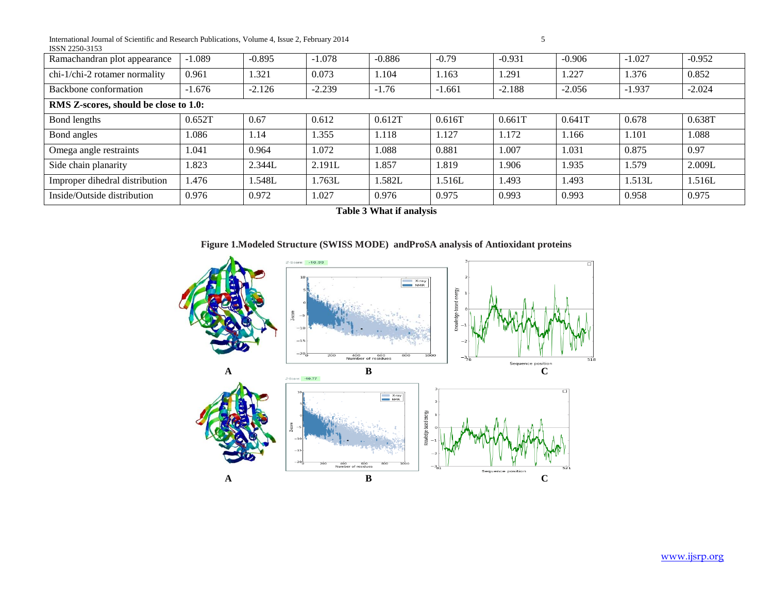International Journal of Scientific and Research Publications, Volume 4, Issue 2, February 2014 5 ISSN 2250-3153

| Ramachandran plot appearance          | $-1.089$ | $-0.895$ | $-1.078$ | $-0.886$ | $-0.79$  | $-0.931$ | $-0.906$ | $-1.027$ | $-0.952$ |  |
|---------------------------------------|----------|----------|----------|----------|----------|----------|----------|----------|----------|--|
| chi-1/chi-2 rotamer normality         | 0.961    | 1.321    | 0.073    | 1.104    | 1.163    | 1.291    | 1.227    | 1.376    | 0.852    |  |
| Backbone conformation                 | $-1.676$ | $-2.126$ | $-2.239$ | $-1.76$  | $-1.661$ | $-2.188$ | $-2.056$ | $-1.937$ | $-2.024$ |  |
| RMS Z-scores, should be close to 1.0: |          |          |          |          |          |          |          |          |          |  |
| Bond lengths                          | 0.652T   | 0.67     | 0.612    | 0.612T   | 0.616T   | 0.661T   | 0.641T   | 0.678    | 0.638T   |  |
| Bond angles                           | 1.086    | 1.14     | 1.355    | 1.118    | 1.127    | 1.172    | 1.166    | 1.101    | 1.088    |  |
| Omega angle restraints                | 1.041    | 0.964    | 1.072    | 1.088    | 0.881    | 1.007    | 1.031    | 0.875    | 0.97     |  |
| Side chain planarity                  | 1.823    | 2.344L   | 2.191L   | 1.857    | 1.819    | 1.906    | 1.935    | 1.579    | 2.009L   |  |
| Improper dihedral distribution        | 1.476    | 1.548L   | 1.763L   | 1.582L   | 1.516L   | 1.493    | 1.493    | 1.513L   | 1.516L   |  |
| Inside/Outside distribution           | 0.976    | 0.972    | 1.027    | 0.976    | 0.975    | 0.993    | 0.993    | 0.958    | 0.975    |  |

**Table 3 What if analysis**

## **Figure 1.Modeled Structure (SWISS MODE) andProSA analysis of Antioxidant proteins**



www.ijsrp.org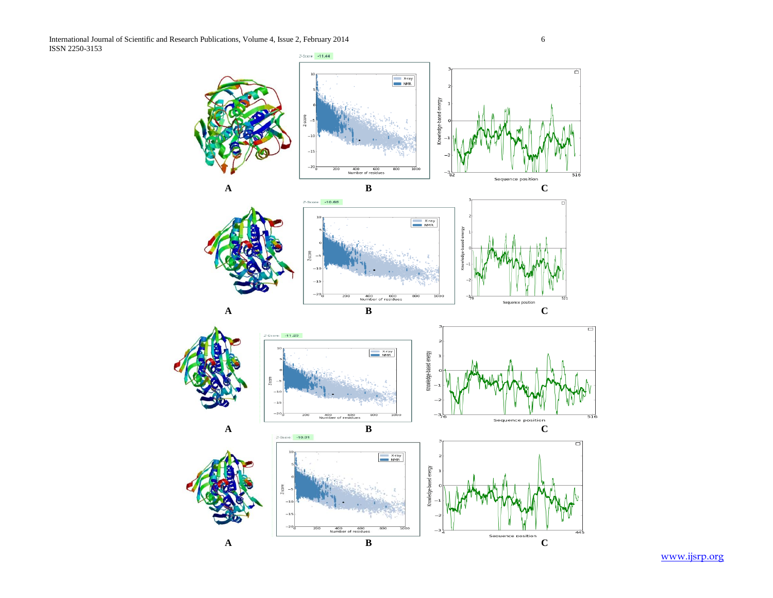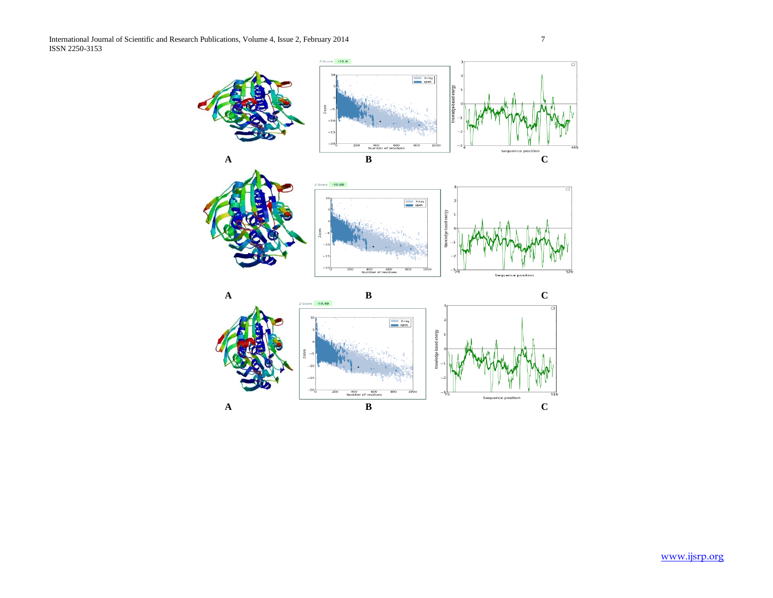$Z$ -Score:  $-10.4$ ा X-ray<br>NMR  $-15$ 400 600<br>Number of reside Sequence position **A B C**  $Z-Score$ : -10.99  $\frac{X-ray}{NMR}$ nergy  $^{-15}\,$  $^{-20}$ 400 600<br>Number of residues Sequence position **A B C**  $\overline{\mathsf{d}}$ X-ray<br>NMR yane  $-20$ 400 60 Sequence position **A B C**